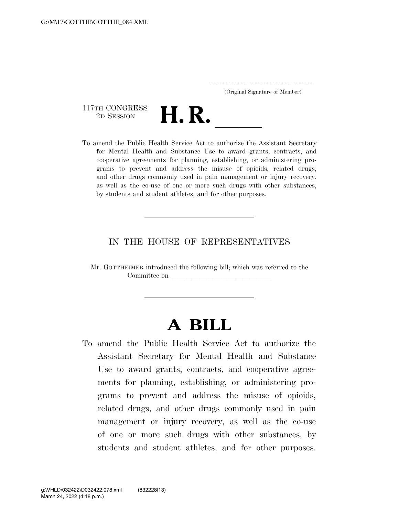..................................................................... (Original Signature of Member)

117TH CONGRESS<br>2D SESSION



117TH CONGRESS<br>
2D SESSION<br>
To amend the Public Health Service Act to authorize the Assistant Secretary for Mental Health and Substance Use to award grants, contracts, and cooperative agreements for planning, establishing, or administering programs to prevent and address the misuse of opioids, related drugs, and other drugs commonly used in pain management or injury recovery, as well as the co-use of one or more such drugs with other substances, by students and student athletes, and for other purposes.

### IN THE HOUSE OF REPRESENTATIVES

Mr. GOTTHEIMER introduced the following bill; which was referred to the Committee on

# **A BILL**

To amend the Public Health Service Act to authorize the Assistant Secretary for Mental Health and Substance Use to award grants, contracts, and cooperative agreements for planning, establishing, or administering programs to prevent and address the misuse of opioids, related drugs, and other drugs commonly used in pain management or injury recovery, as well as the co-use of one or more such drugs with other substances, by students and student athletes, and for other purposes.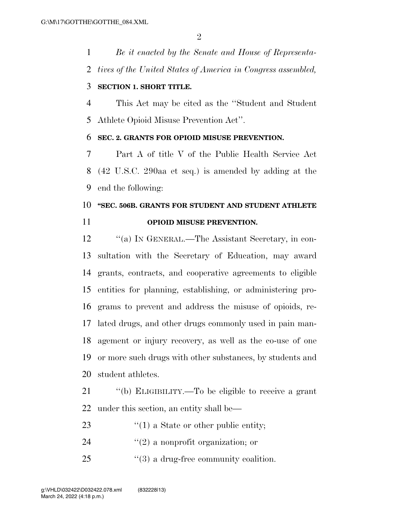*Be it enacted by the Senate and House of Representa-tives of the United States of America in Congress assembled,* 

#### **SECTION 1. SHORT TITLE.**

 This Act may be cited as the ''Student and Student Athlete Opioid Misuse Prevention Act''.

#### **SEC. 2. GRANTS FOR OPIOID MISUSE PREVENTION.**

 Part A of title V of the Public Health Service Act (42 U.S.C. 290aa et seq.) is amended by adding at the end the following:

## **''SEC. 506B. GRANTS FOR STUDENT AND STUDENT ATHLETE OPIOID MISUSE PREVENTION.**

 ''(a) IN GENERAL.—The Assistant Secretary, in con- sultation with the Secretary of Education, may award grants, contracts, and cooperative agreements to eligible entities for planning, establishing, or administering pro- grams to prevent and address the misuse of opioids, re- lated drugs, and other drugs commonly used in pain man- agement or injury recovery, as well as the co-use of one or more such drugs with other substances, by students and student athletes.

 ''(b) ELIGIBILITY.—To be eligible to receive a grant under this section, an entity shall be—

- 23  $\frac{1}{2}$  (1) a State or other public entity;
- 24  $(2)$  a nonprofit organization; or
- 25  $\frac{1}{2}$  (3) a drug-free community coalition.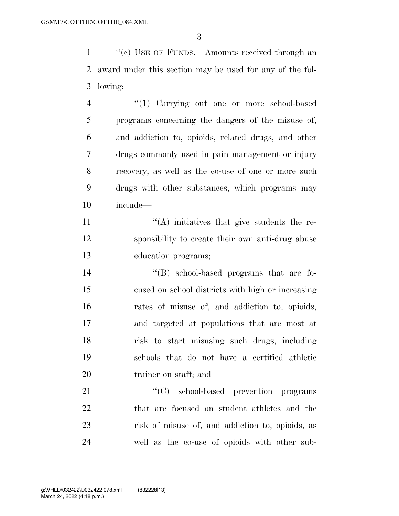1 ''(c) USE OF FUNDS.—Amounts received through an award under this section may be used for any of the fol-lowing:

 ''(1) Carrying out one or more school-based programs concerning the dangers of the misuse of, and addiction to, opioids, related drugs, and other drugs commonly used in pain management or injury recovery, as well as the co-use of one or more such drugs with other substances, which programs may include—

11  $((A)$  initiatives that give students the re- sponsibility to create their own anti-drug abuse education programs;

 ''(B) school-based programs that are fo- cused on school districts with high or increasing rates of misuse of, and addiction to, opioids, and targeted at populations that are most at risk to start misusing such drugs, including schools that do not have a certified athletic trainer on staff; and

21 "'(C) school-based prevention programs that are focused on student athletes and the risk of misuse of, and addiction to, opioids, as well as the co-use of opioids with other sub-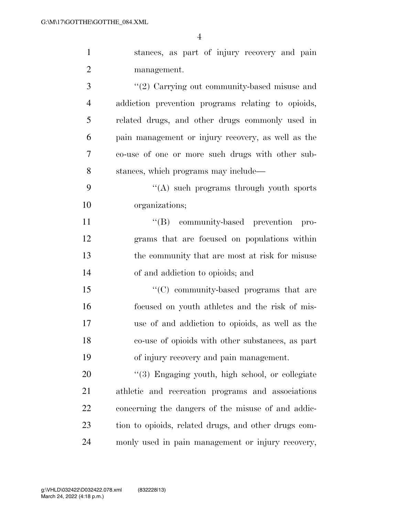stances, as part of injury recovery and pain management. 3 ''(2) Carrying out community-based misuse and addiction prevention programs relating to opioids, related drugs, and other drugs commonly used in pain management or injury recovery, as well as the co-use of one or more such drugs with other sub- stances, which programs may include— 9 ''(A) such programs through youth sports organizations;  $\langle G \rangle$  community-based prevention pro- grams that are focused on populations within the community that are most at risk for misuse of and addiction to opioids; and

15 "'(C) community-based programs that are focused on youth athletes and the risk of mis- use of and addiction to opioids, as well as the co-use of opioids with other substances, as part of injury recovery and pain management.

20 "(3) Engaging youth, high school, or collegiate athletic and recreation programs and associations concerning the dangers of the misuse of and addic- tion to opioids, related drugs, and other drugs com-monly used in pain management or injury recovery,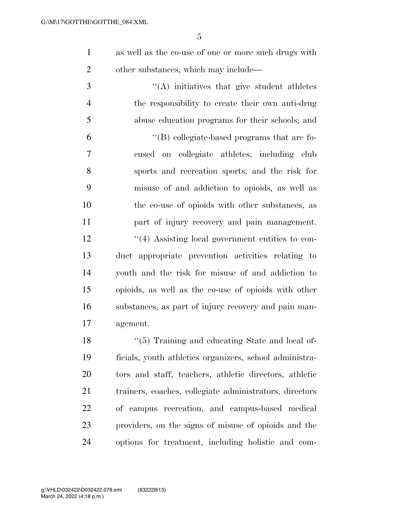as well as the co-use of one or more such drugs with other substances, which may include—

 $\langle (A) \rangle$  initiatives that give student athletes the responsibility to create their own anti-drug abuse education programs for their schools; and ''(B) collegiate-based programs that are fo- cused on collegiate athletes, including club sports and recreation sports, and the risk for misuse of and addiction to opioids, as well as the co-use of opioids with other substances, as part of injury recovery and pain management. ''(4) Assisting local government entities to con- duct appropriate prevention activities relating to youth and the risk for misuse of and addiction to opioids, as well as the co-use of opioids with other substances, as part of injury recovery and pain man-

agement.

18 ''(5) Training and educating State and local of- ficials, youth athletics organizers, school administra- tors and staff, teachers, athletic directors, athletic trainers, coaches, collegiate administrators, directors of campus recreation, and campus-based medical providers, on the signs of misuse of opioids and the options for treatment, including holistic and com-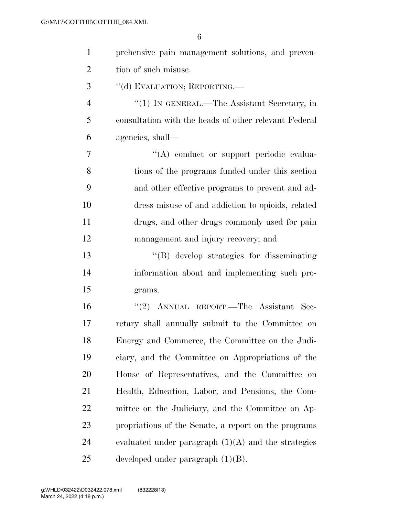| $\mathbf{1}$   | prehensive pain management solutions, and preven-     |
|----------------|-------------------------------------------------------|
| $\overline{2}$ | tion of such misuse.                                  |
| 3              | "(d) EVALUATION; REPORTING.—                          |
| $\overline{4}$ | "(1) IN GENERAL.—The Assistant Secretary, in          |
| 5              | consultation with the heads of other relevant Federal |
| 6              | agencies, shall—                                      |
| 7              | "(A) conduct or support periodic evalua-              |
| 8              | tions of the programs funded under this section       |
| 9              | and other effective programs to prevent and ad-       |
| 10             | dress misuse of and addiction to opioids, related     |
| 11             | drugs, and other drugs commonly used for pain         |
| 12             | management and injury recovery; and                   |
| 13             | "(B) develop strategies for disseminating             |
| 14             | information about and implementing such pro-          |
| 15             | grams.                                                |
| 16             | "(2) ANNUAL REPORT.—The Assistant Sec-                |
| 17             | retary shall annually submit to the Committee on      |
| 18             | Energy and Commerce, the Committee on the Judi-       |
| 19             | ciary, and the Committee on Appropriations of the     |
| 20             | House of Representatives, and the Committee on        |
| 21             | Health, Education, Labor, and Pensions, the Com-      |
| 22             | mittee on the Judiciary, and the Committee on Ap-     |
| 23             | propriations of the Senate, a report on the programs  |
| 24             | evaluated under paragraph $(1)(A)$ and the strategies |
| 25             | developed under paragraph $(1)(B)$ .                  |